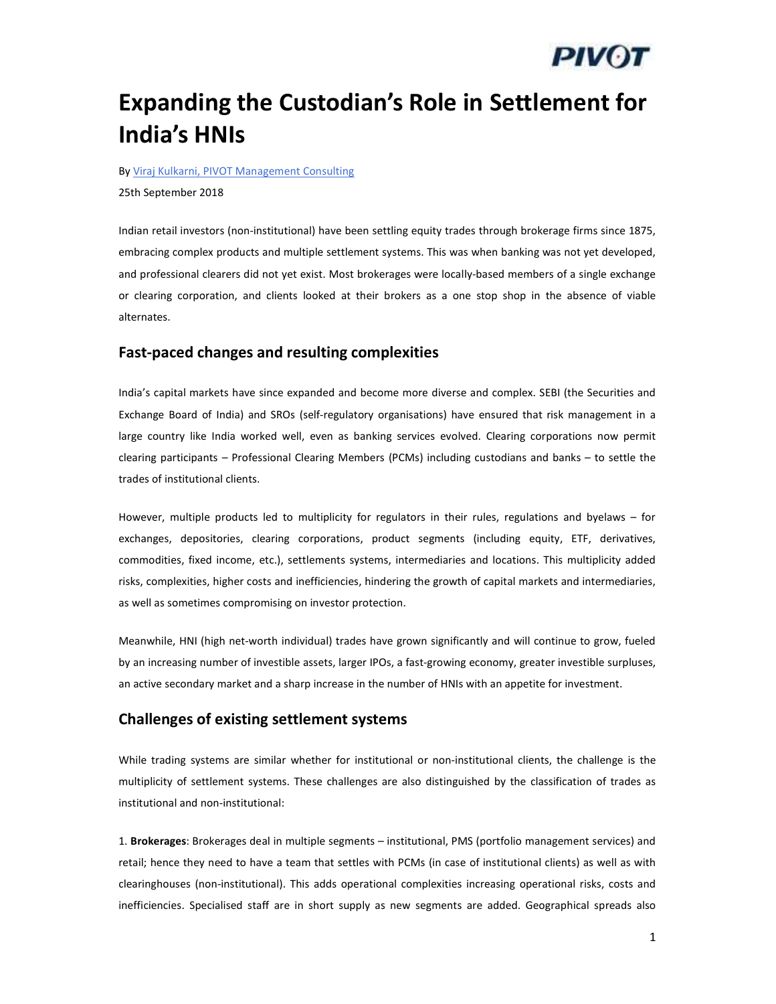# *PIVOT*

## Expanding the Custodian's Role in Settlement for India's HNIs

By Viraj Kulkarni, PIVOT Management Consulting

25th September 2018

Indian retail investors (non-institutional) have been settling equity trades through brokerage firms since 1875, embracing complex products and multiple settlement systems. This was when banking was not yet developed, and professional clearers did not yet exist. Most brokerages were locally-based members of a single exchange or clearing corporation, and clients looked at their brokers as a one stop shop in the absence of viable alternates.

### Fast-paced changes and resulting complexities

India's capital markets have since expanded and become more diverse and complex. SEBI (the Securities and Exchange Board of India) and SROs (self-regulatory organisations) have ensured that risk management in a large country like India worked well, even as banking services evolved. Clearing corporations now permit clearing participants – Professional Clearing Members (PCMs) including custodians and banks – to settle the trades of institutional clients.

However, multiple products led to multiplicity for regulators in their rules, regulations and byelaws – for exchanges, depositories, clearing corporations, product segments (including equity, ETF, derivatives, commodities, fixed income, etc.), settlements systems, intermediaries and locations. This multiplicity added risks, complexities, higher costs and inefficiencies, hindering the growth of capital markets and intermediaries, as well as sometimes compromising on investor protection.

Meanwhile, HNI (high net-worth individual) trades have grown significantly and will continue to grow, fueled by an increasing number of investible assets, larger IPOs, a fast-growing economy, greater investible surpluses, an active secondary market and a sharp increase in the number of HNIs with an appetite for investment.

### Challenges of existing settlement systems

While trading systems are similar whether for institutional or non-institutional clients, the challenge is the multiplicity of settlement systems. These challenges are also distinguished by the classification of trades as institutional and non-institutional:

1. Brokerages: Brokerages deal in multiple segments – institutional, PMS (portfolio management services) and retail; hence they need to have a team that settles with PCMs (in case of institutional clients) as well as with clearinghouses (non-institutional). This adds operational complexities increasing operational risks, costs and inefficiencies. Specialised staff are in short supply as new segments are added. Geographical spreads also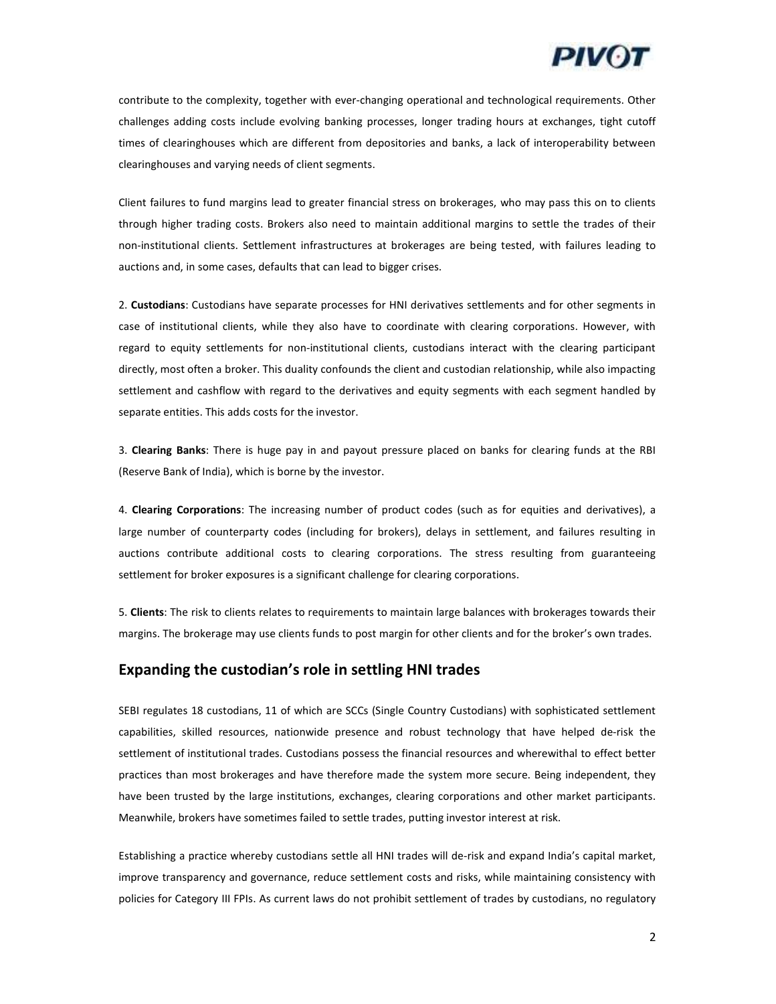

contribute to the complexity, together with ever-changing operational and technological requirements. Other challenges adding costs include evolving banking processes, longer trading hours at exchanges, tight cutoff times of clearinghouses which are different from depositories and banks, a lack of interoperability between clearinghouses and varying needs of client segments.

Client failures to fund margins lead to greater financial stress on brokerages, who may pass this on to clients through higher trading costs. Brokers also need to maintain additional margins to settle the trades of their non-institutional clients. Settlement infrastructures at brokerages are being tested, with failures leading to auctions and, in some cases, defaults that can lead to bigger crises.

2. Custodians: Custodians have separate processes for HNI derivatives settlements and for other segments in case of institutional clients, while they also have to coordinate with clearing corporations. However, with regard to equity settlements for non-institutional clients, custodians interact with the clearing participant directly, most often a broker. This duality confounds the client and custodian relationship, while also impacting settlement and cashflow with regard to the derivatives and equity segments with each segment handled by separate entities. This adds costs for the investor.

3. Clearing Banks: There is huge pay in and payout pressure placed on banks for clearing funds at the RBI (Reserve Bank of India), which is borne by the investor.

4. Clearing Corporations: The increasing number of product codes (such as for equities and derivatives), a large number of counterparty codes (including for brokers), delays in settlement, and failures resulting in auctions contribute additional costs to clearing corporations. The stress resulting from guaranteeing settlement for broker exposures is a significant challenge for clearing corporations.

5. Clients: The risk to clients relates to requirements to maintain large balances with brokerages towards their margins. The brokerage may use clients funds to post margin for other clients and for the broker's own trades.

#### Expanding the custodian's role in settling HNI trades

SEBI regulates 18 custodians, 11 of which are SCCs (Single Country Custodians) with sophisticated settlement capabilities, skilled resources, nationwide presence and robust technology that have helped de-risk the settlement of institutional trades. Custodians possess the financial resources and wherewithal to effect better practices than most brokerages and have therefore made the system more secure. Being independent, they have been trusted by the large institutions, exchanges, clearing corporations and other market participants. Meanwhile, brokers have sometimes failed to settle trades, putting investor interest at risk.

Establishing a practice whereby custodians settle all HNI trades will de-risk and expand India's capital market, improve transparency and governance, reduce settlement costs and risks, while maintaining consistency with policies for Category III FPIs. As current laws do not prohibit settlement of trades by custodians, no regulatory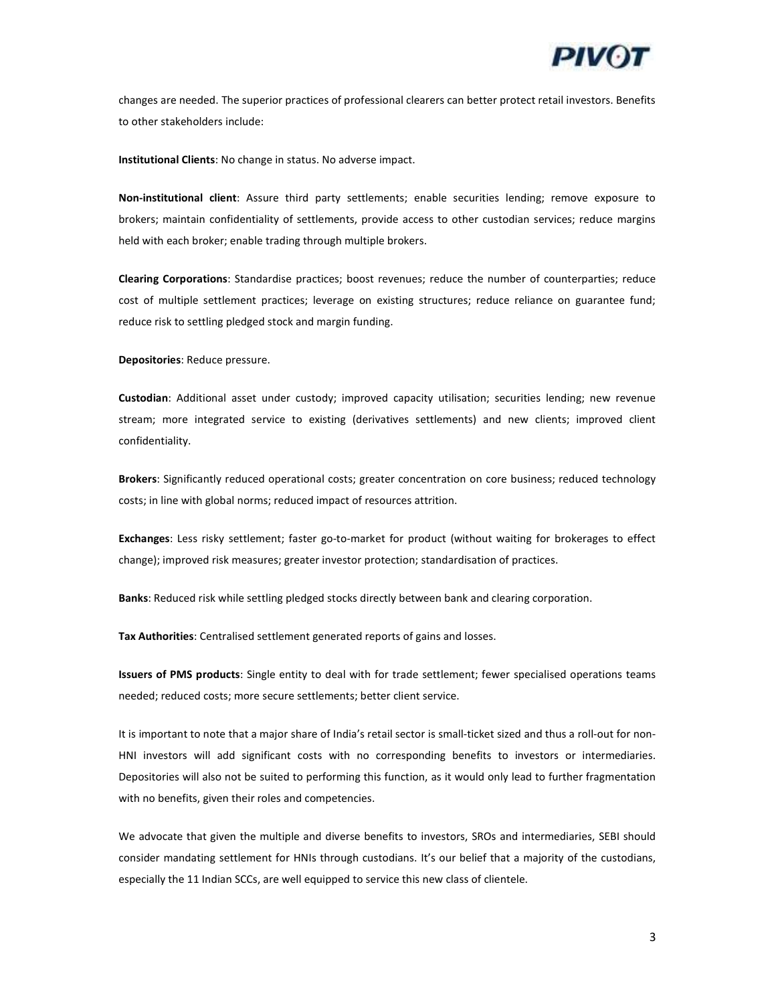

changes are needed. The superior practices of professional clearers can better protect retail investors. Benefits to other stakeholders include:

Institutional Clients: No change in status. No adverse impact.

Non-institutional client: Assure third party settlements; enable securities lending; remove exposure to brokers; maintain confidentiality of settlements, provide access to other custodian services; reduce margins held with each broker; enable trading through multiple brokers.

Clearing Corporations: Standardise practices; boost revenues; reduce the number of counterparties; reduce cost of multiple settlement practices; leverage on existing structures; reduce reliance on guarantee fund; reduce risk to settling pledged stock and margin funding.

Depositories: Reduce pressure.

Custodian: Additional asset under custody; improved capacity utilisation; securities lending; new revenue stream; more integrated service to existing (derivatives settlements) and new clients; improved client confidentiality.

Brokers: Significantly reduced operational costs; greater concentration on core business; reduced technology costs; in line with global norms; reduced impact of resources attrition.

Exchanges: Less risky settlement; faster go-to-market for product (without waiting for brokerages to effect change); improved risk measures; greater investor protection; standardisation of practices.

Banks: Reduced risk while settling pledged stocks directly between bank and clearing corporation.

Tax Authorities: Centralised settlement generated reports of gains and losses.

Issuers of PMS products: Single entity to deal with for trade settlement; fewer specialised operations teams needed; reduced costs; more secure settlements; better client service.

It is important to note that a major share of India's retail sector is small-ticket sized and thus a roll-out for non-HNI investors will add significant costs with no corresponding benefits to investors or intermediaries. Depositories will also not be suited to performing this function, as it would only lead to further fragmentation with no benefits, given their roles and competencies.

We advocate that given the multiple and diverse benefits to investors, SROs and intermediaries, SEBI should consider mandating settlement for HNIs through custodians. It's our belief that a majority of the custodians, especially the 11 Indian SCCs, are well equipped to service this new class of clientele.

3